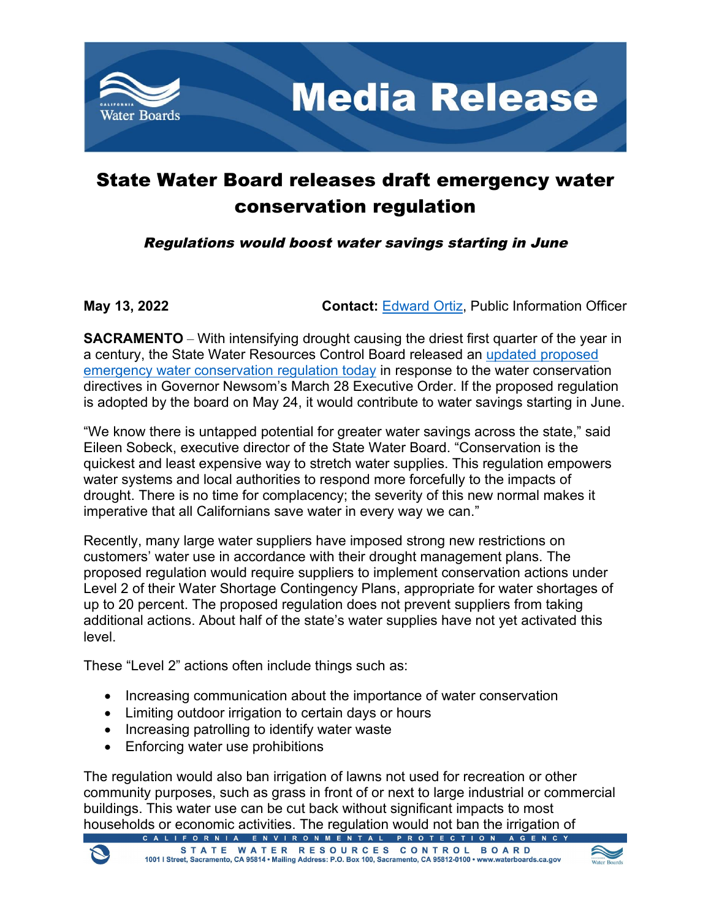

## State Water Board releases draft emergency water conservation regulation

Regulations would boost water savings starting in June

**May 13, 2022 Contact:** [Edward Ortiz,](mailto:Edward.Ortiz@Waterboards.ca.gov) Public Information Officer

**SACRAMENTO** – With intensifying drought causing the driest first quarter of the year in a century, the State Water Resources Control Board released an updated [proposed](https://www.waterboards.ca.gov/board_info/agendas/2022/may/052422_3_proposed_eregtext.pdf)  [emergency water conservation regulation](https://www.waterboards.ca.gov/board_info/agendas/2022/may/052422_3_proposed_eregtext.pdf) today in response to the water conservation directives in Governor Newsom's March 28 Executive Order. If the proposed regulation is adopted by the board on May 24, it would contribute to water savings starting in June.

"We know there is untapped potential for greater water savings across the state," said Eileen Sobeck, executive director of the State Water Board. "Conservation is the quickest and least expensive way to stretch water supplies. This regulation empowers water systems and local authorities to respond more forcefully to the impacts of drought. There is no time for complacency; the severity of this new normal makes it imperative that all Californians save water in every way we can."

Recently, many large water suppliers have imposed strong new restrictions on customers' water use in accordance with their drought management plans. The proposed regulation would require suppliers to implement conservation actions under Level 2 of their Water Shortage Contingency Plans, appropriate for water shortages of up to 20 percent. The proposed regulation does not prevent suppliers from taking additional actions. About half of the state's water supplies have not yet activated this level.

These "Level 2" actions often include things such as:

- · Increasing communication about the importance of water conservation
- · Limiting outdoor irrigation to certain days or hours
- · Increasing patrolling to identify water waste
- Enforcing water use prohibitions

The regulation would also ban irrigation of lawns not used for recreation or other community purposes, such as grass in front of or next to large industrial or commercial buildings. This water use can be cut back without significant impacts to most households or economic activities. The regulation would not ban the irrigation of